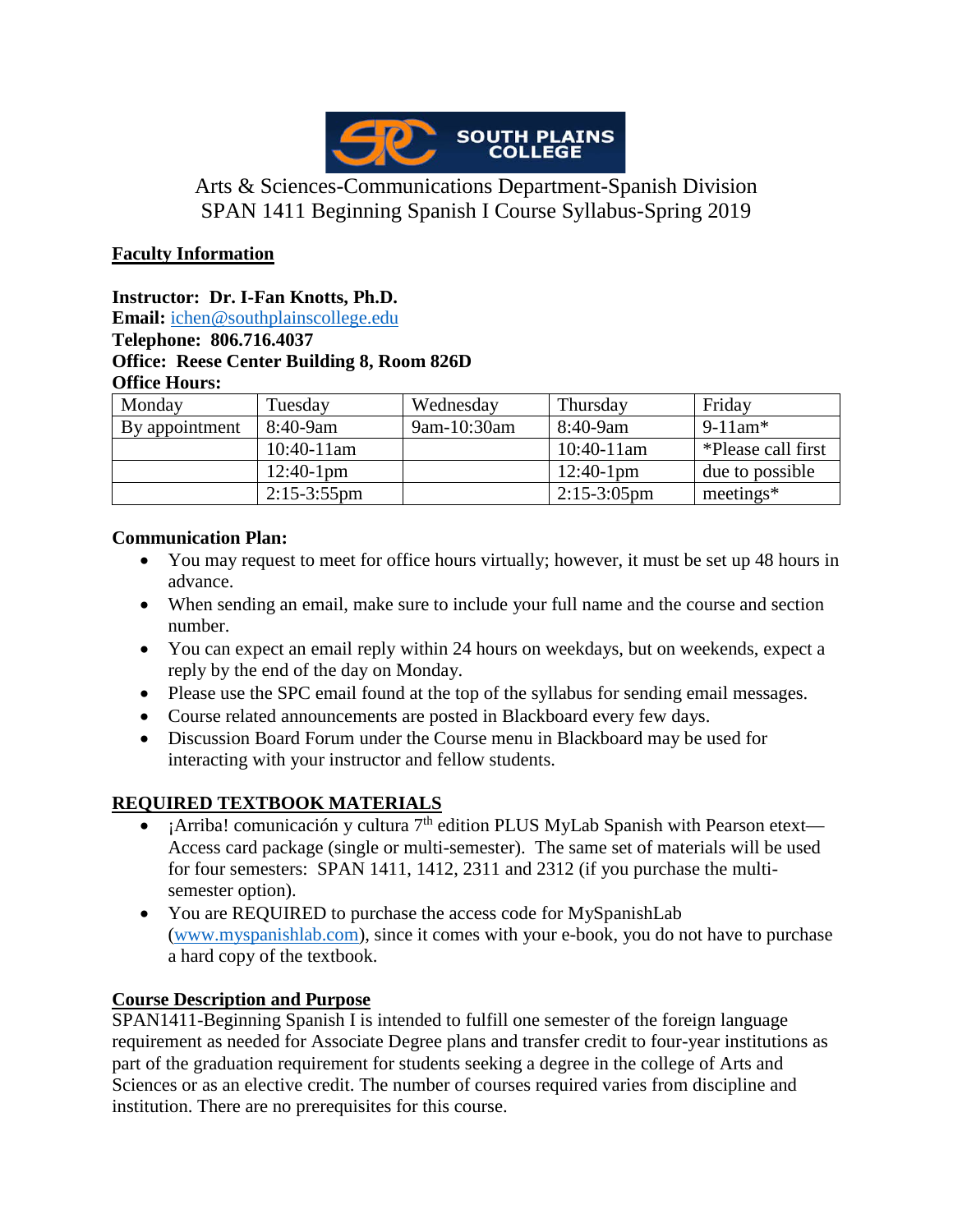

# Arts & Sciences-Communications Department-Spanish Division SPAN 1411 Beginning Spanish I Course Syllabus-Spring 2019

### **Faculty Information**

**Instructor: Dr. I-Fan Knotts, Ph.D.**

**Email:** [ichen@southplainscollege.edu](mailto:ichen@southplainscollege.edu)

### **Telephone: 806.716.4037 Office: Reese Center Building 8, Room 826D Office Hours:**

| Monday         | Tuesday        | Wednesday   | Thursday       | Friday                 |
|----------------|----------------|-------------|----------------|------------------------|
| By appointment | $8:40-9am$     | 9am-10:30am | 8:40-9am       | $9-11$ am <sup>*</sup> |
|                | $10:40-11$ am  |             | $10:40-11$ am  | *Please call first     |
|                | $12:40-1$ pm   |             | $12:40-1$ pm   | due to possible        |
|                | $2:15-3:55$ pm |             | $2:15-3:05$ pm | meetings $*$           |

### **Communication Plan:**

- You may request to meet for office hours virtually; however, it must be set up 48 hours in advance.
- When sending an email, make sure to include your full name and the course and section number.
- You can expect an email reply within 24 hours on weekdays, but on weekends, expect a reply by the end of the day on Monday.
- Please use the SPC email found at the top of the syllabus for sending email messages.
- Course related announcements are posted in Blackboard every few days.
- Discussion Board Forum under the Course menu in Blackboard may be used for interacting with your instructor and fellow students.

### **REQUIRED TEXTBOOK MATERIALS**

- ¡Arriba! comunicación y cultura  $7<sup>th</sup>$  edition PLUS MyLab Spanish with Pearson etext— Access card package (single or multi-semester). The same set of materials will be used for four semesters: SPAN 1411, 1412, 2311 and 2312 (if you purchase the multisemester option).
- You are REQUIRED to purchase the access code for MySpanishLab [\(www.myspanishlab.com\)](http://www.myspanishlab.com/), since it comes with your e-book, you do not have to purchase a hard copy of the textbook.

### **Course Description and Purpose**

SPAN1411-Beginning Spanish I is intended to fulfill one semester of the foreign language requirement as needed for Associate Degree plans and transfer credit to four-year institutions as part of the graduation requirement for students seeking a degree in the college of Arts and Sciences or as an elective credit. The number of courses required varies from discipline and institution. There are no prerequisites for this course.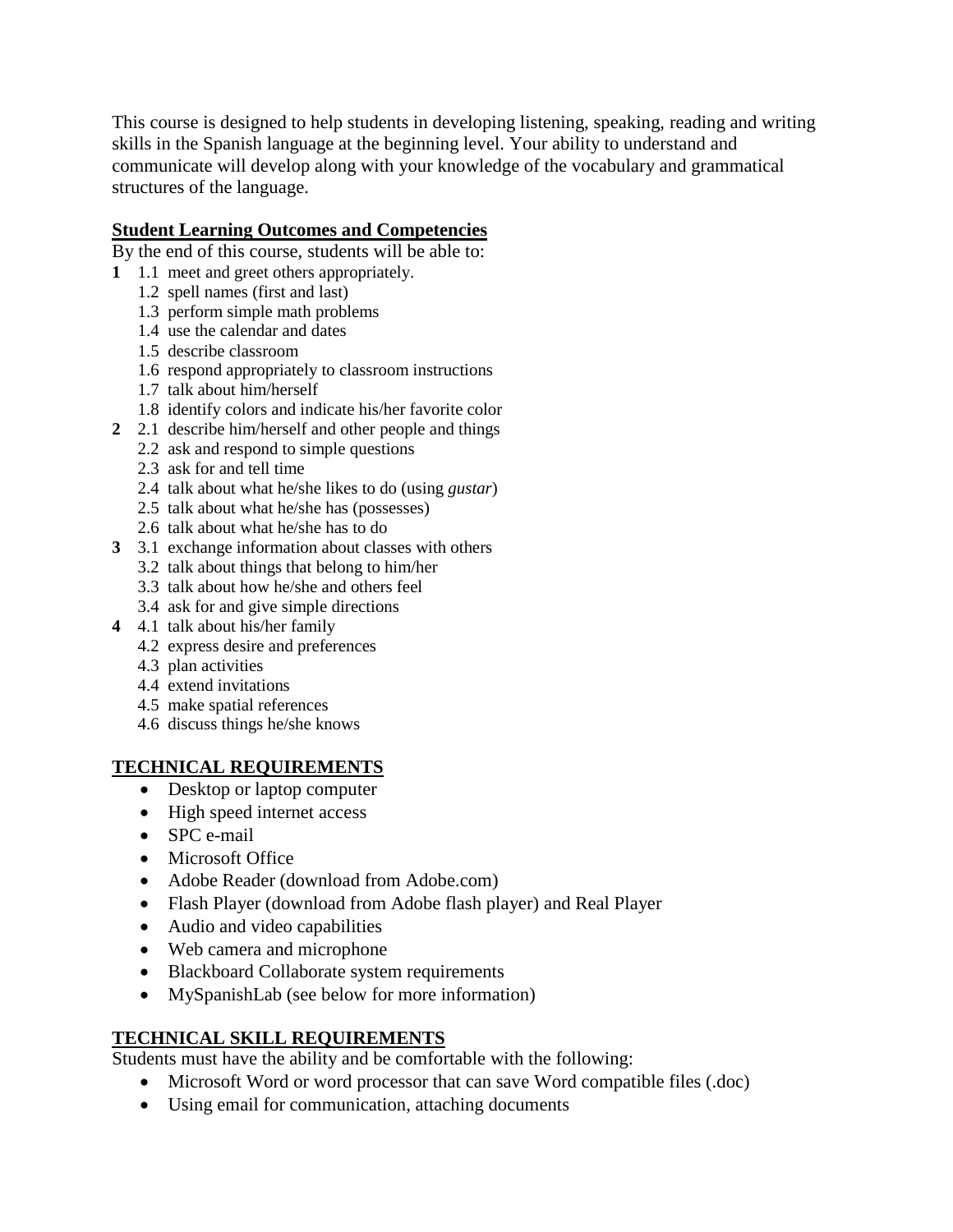This course is designed to help students in developing listening, speaking, reading and writing skills in the Spanish language at the beginning level. Your ability to understand and communicate will develop along with your knowledge of the vocabulary and grammatical structures of the language.

### **Student Learning Outcomes and Competencies**

By the end of this course, students will be able to:

- **1** 1.1 meet and greet others appropriately.
	- 1.2 spell names (first and last)
	- 1.3 perform simple math problems
	- 1.4 use the calendar and dates
	- 1.5 describe classroom
	- 1.6 respond appropriately to classroom instructions
	- 1.7 talk about him/herself
	- 1.8 identify colors and indicate his/her favorite color
- **2** 2.1 describe him/herself and other people and things
	- 2.2 ask and respond to simple questions
	- 2.3 ask for and tell time
	- 2.4 talk about what he/she likes to do (using *gustar*)
	- 2.5 talk about what he/she has (possesses)
	- 2.6 talk about what he/she has to do
- **3** 3.1 exchange information about classes with others
	- 3.2 talk about things that belong to him/her
	- 3.3 talk about how he/she and others feel
	- 3.4 ask for and give simple directions
- **4** 4.1 talk about his/her family
	- 4.2 express desire and preferences
	- 4.3 plan activities
	- 4.4 extend invitations
	- 4.5 make spatial references
	- 4.6 discuss things he/she knows

### **TECHNICAL REQUIREMENTS**

- Desktop or laptop computer
- High speed internet access
- SPC e-mail
- Microsoft Office
- Adobe Reader (download from Adobe.com)
- Flash Player (download from Adobe flash player) and Real Player
- Audio and video capabilities
- Web camera and microphone
- Blackboard Collaborate system requirements
- MySpanishLab (see below for more information)

# **TECHNICAL SKILL REQUIREMENTS**

Students must have the ability and be comfortable with the following:

- Microsoft Word or word processor that can save Word compatible files (.doc)
- Using email for communication, attaching documents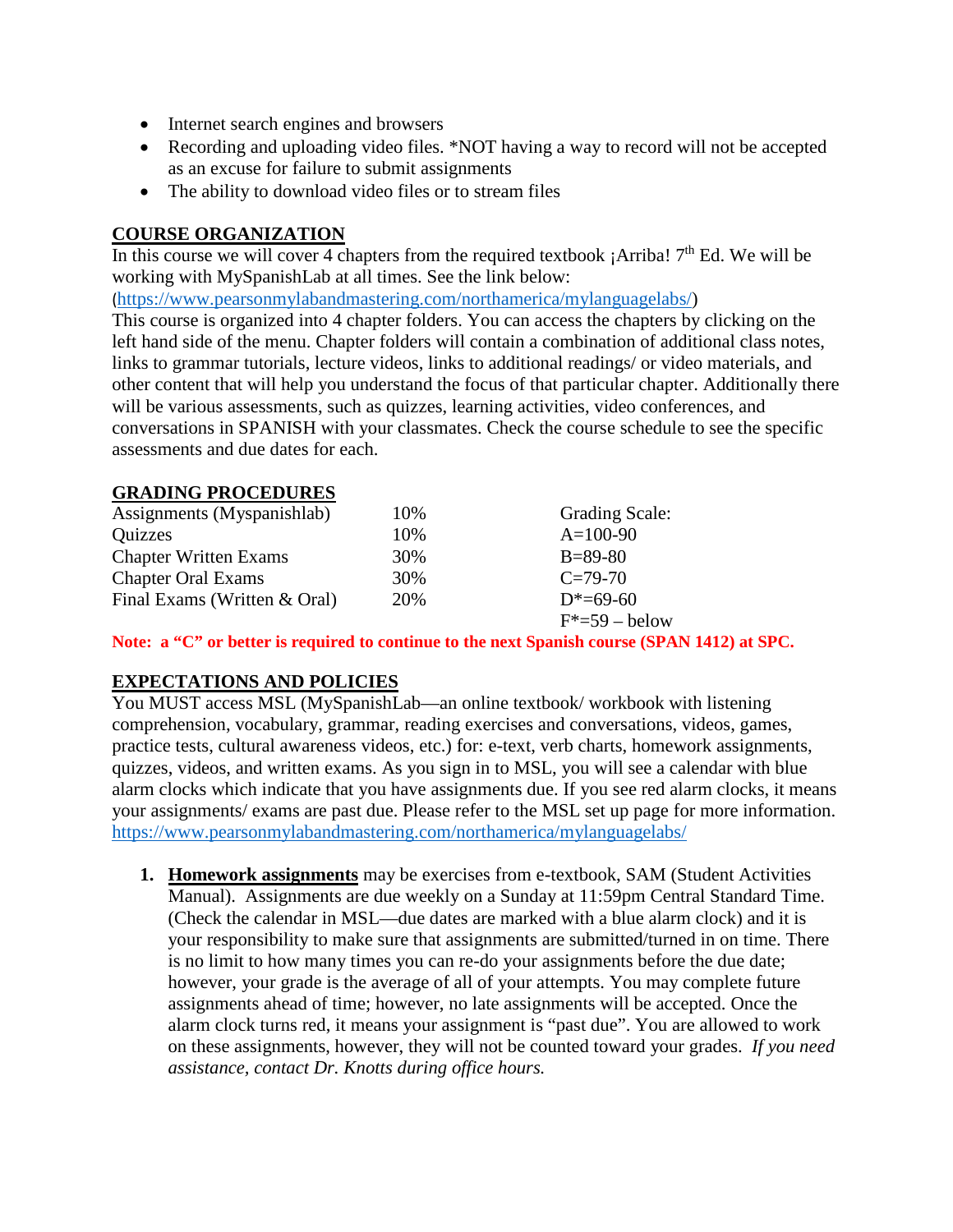- Internet search engines and browsers
- Recording and uploading video files. \*NOT having a way to record will not be accepted as an excuse for failure to submit assignments
- The ability to download video files or to stream files

### **COURSE ORGANIZATION**

In this course we will cover 4 chapters from the required textbook  $i$  Arriba!  $7<sup>th</sup>$  Ed. We will be working with MySpanishLab at all times. See the link below:

([https://www.pearsonmylabandmastering.com/northamerica/mylanguagelabs/\)](https://www.pearsonmylabandmastering.com/northamerica/mylanguagelabs/)

This course is organized into 4 chapter folders. You can access the chapters by clicking on the left hand side of the menu. Chapter folders will contain a combination of additional class notes, links to grammar tutorials, lecture videos, links to additional readings/ or video materials, and other content that will help you understand the focus of that particular chapter. Additionally there will be various assessments, such as quizzes, learning activities, video conferences, and conversations in SPANISH with your classmates. Check the course schedule to see the specific assessments and due dates for each.

#### **GRADING PROCEDURES**

| Assignments (Myspanishlab)   | 10% | <b>Grading Scale:</b>     |
|------------------------------|-----|---------------------------|
| Quizzes                      | 10% | $A=100-90$                |
| <b>Chapter Written Exams</b> | 30% | $B = 89-80$               |
| <b>Chapter Oral Exams</b>    | 30% | $C = 79-70$               |
| Final Exams (Written & Oral) | 20% | $D^* = 69 - 60$           |
|                              |     | $F^* = 59 - \text{below}$ |

**Note: a "C" or better is required to continue to the next Spanish course (SPAN 1412) at SPC.**

### **EXPECTATIONS AND POLICIES**

You MUST access MSL (MySpanishLab—an online textbook/workbook with listening comprehension, vocabulary, grammar, reading exercises and conversations, videos, games, practice tests, cultural awareness videos, etc.) for: e-text, verb charts, homework assignments, quizzes, videos, and written exams. As you sign in to MSL, you will see a calendar with blue alarm clocks which indicate that you have assignments due. If you see red alarm clocks, it means your assignments/ exams are past due. Please refer to the MSL set up page for more information. <https://www.pearsonmylabandmastering.com/northamerica/mylanguagelabs/>

**1. Homework assignments** may be exercises from e-textbook, SAM (Student Activities Manual). Assignments are due weekly on a Sunday at 11:59pm Central Standard Time. (Check the calendar in MSL—due dates are marked with a blue alarm clock) and it is your responsibility to make sure that assignments are submitted/turned in on time. There is no limit to how many times you can re-do your assignments before the due date; however, your grade is the average of all of your attempts. You may complete future assignments ahead of time; however, no late assignments will be accepted. Once the alarm clock turns red, it means your assignment is "past due". You are allowed to work on these assignments, however, they will not be counted toward your grades. *If you need assistance, contact Dr. Knotts during office hours.*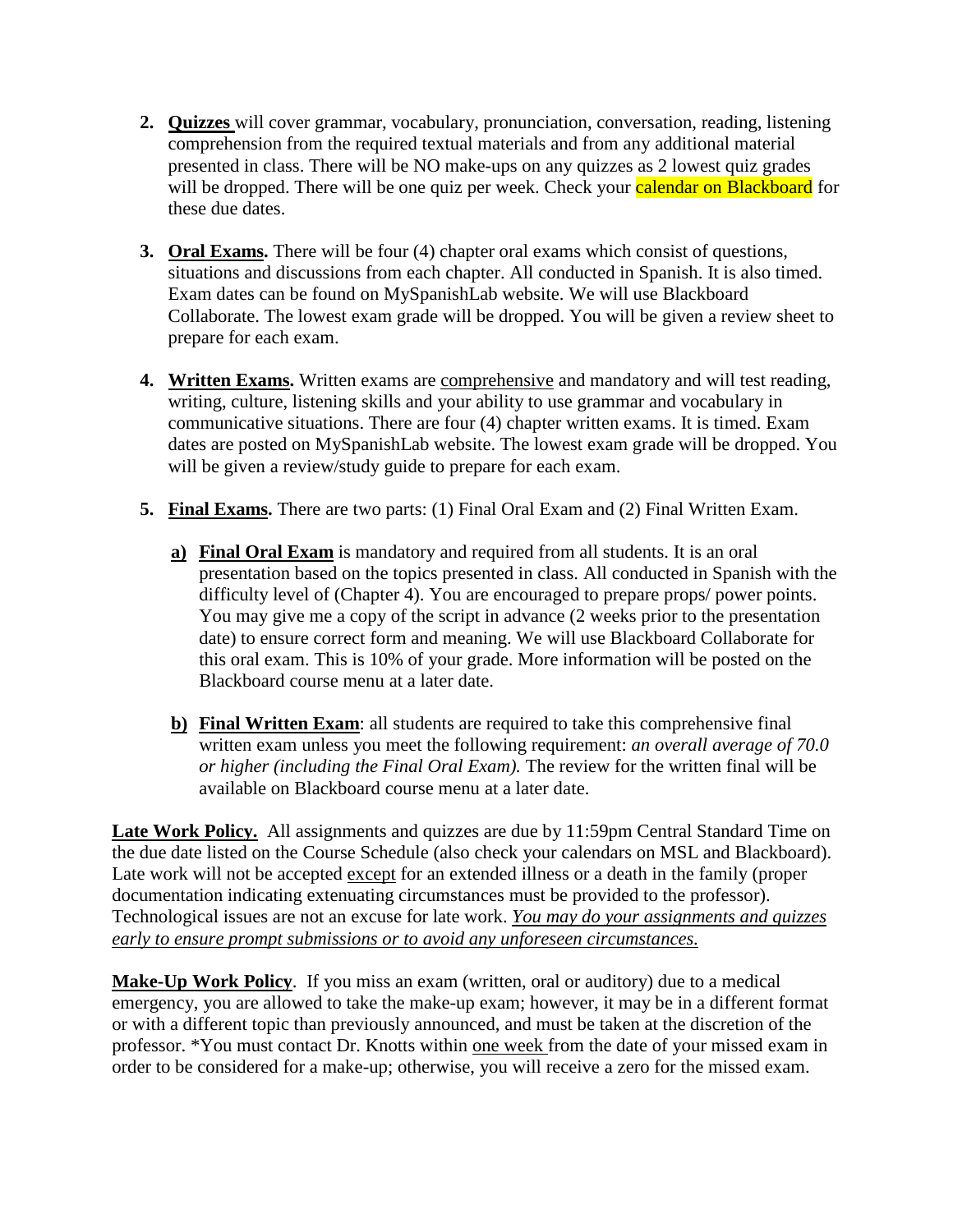- **2. Quizzes** will cover grammar, vocabulary, pronunciation, conversation, reading, listening comprehension from the required textual materials and from any additional material presented in class. There will be NO make-ups on any quizzes as 2 lowest quiz grades will be dropped. There will be one quiz per week. Check your calendar on Blackboard for these due dates.
- **3. Oral Exams.** There will be four (4) chapter oral exams which consist of questions, situations and discussions from each chapter. All conducted in Spanish. It is also timed. Exam dates can be found on MySpanishLab website. We will use Blackboard Collaborate. The lowest exam grade will be dropped. You will be given a review sheet to prepare for each exam.
- **4. Written Exams.** Written exams are comprehensive and mandatory and will test reading, writing, culture, listening skills and your ability to use grammar and vocabulary in communicative situations. There are four (4) chapter written exams. It is timed. Exam dates are posted on MySpanishLab website. The lowest exam grade will be dropped. You will be given a review/study guide to prepare for each exam.
- **5. Final Exams.** There are two parts: (1) Final Oral Exam and (2) Final Written Exam.
	- **a) Final Oral Exam** is mandatory and required from all students. It is an oral presentation based on the topics presented in class. All conducted in Spanish with the difficulty level of (Chapter 4). You are encouraged to prepare props/ power points. You may give me a copy of the script in advance (2 weeks prior to the presentation date) to ensure correct form and meaning. We will use Blackboard Collaborate for this oral exam. This is 10% of your grade. More information will be posted on the Blackboard course menu at a later date.
	- **b) Final Written Exam**: all students are required to take this comprehensive final written exam unless you meet the following requirement: *an overall average of 70.0 or higher (including the Final Oral Exam).* The review for the written final will be available on Blackboard course menu at a later date.

Late Work Policy. All assignments and quizzes are due by 11:59pm Central Standard Time on the due date listed on the Course Schedule (also check your calendars on MSL and Blackboard). Late work will not be accepted except for an extended illness or a death in the family (proper documentation indicating extenuating circumstances must be provided to the professor). Technological issues are not an excuse for late work. *You may do your assignments and quizzes early to ensure prompt submissions or to avoid any unforeseen circumstances.*

**Make-Up Work Policy**. If you miss an exam (written, oral or auditory) due to a medical emergency, you are allowed to take the make-up exam; however, it may be in a different format or with a different topic than previously announced, and must be taken at the discretion of the professor. \*You must contact Dr. Knotts within one week from the date of your missed exam in order to be considered for a make-up; otherwise, you will receive a zero for the missed exam.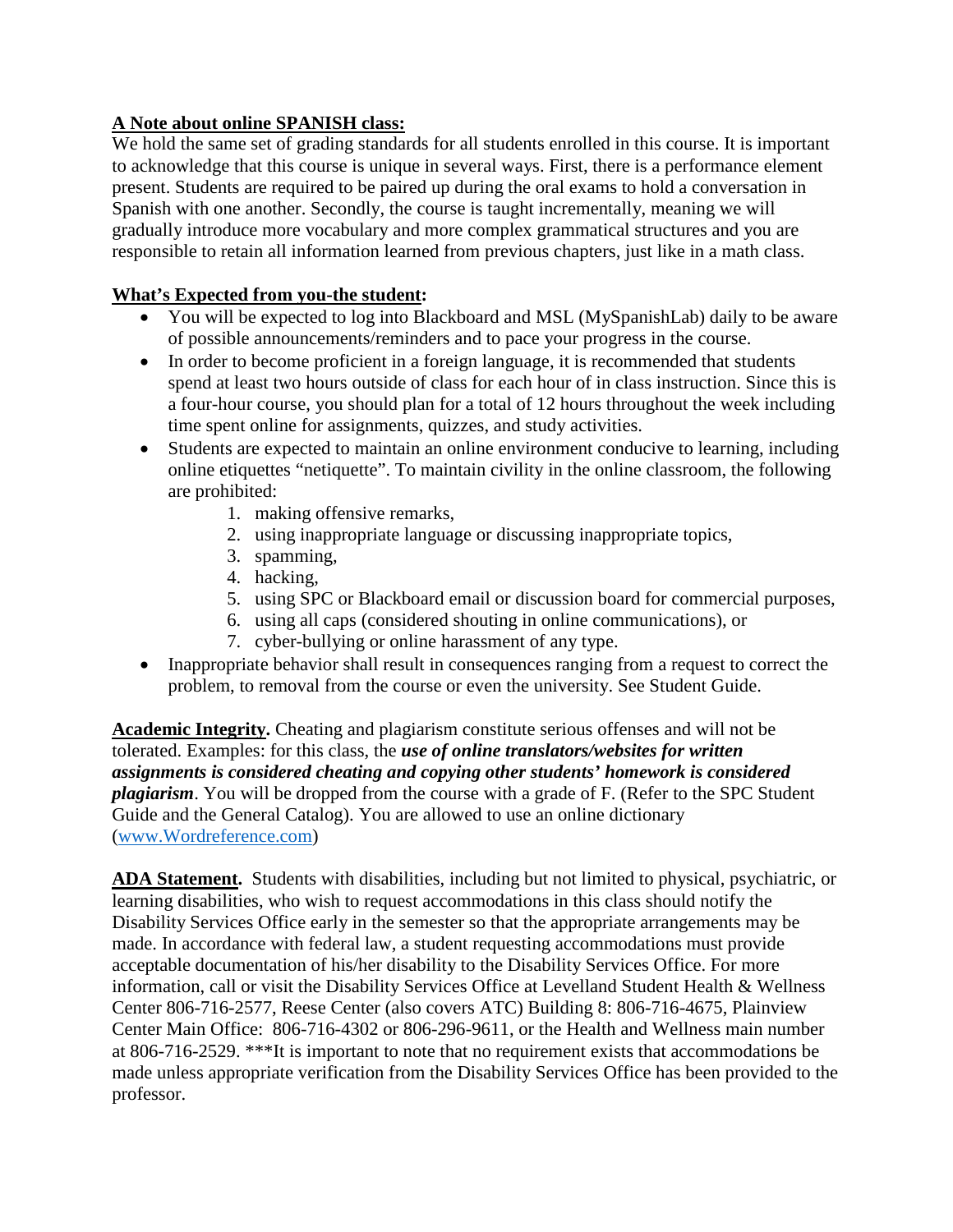# **A Note about online SPANISH class:**

We hold the same set of grading standards for all students enrolled in this course. It is important to acknowledge that this course is unique in several ways. First, there is a performance element present. Students are required to be paired up during the oral exams to hold a conversation in Spanish with one another. Secondly, the course is taught incrementally, meaning we will gradually introduce more vocabulary and more complex grammatical structures and you are responsible to retain all information learned from previous chapters, just like in a math class.

## **What's Expected from you-the student:**

- You will be expected to log into Blackboard and MSL (MySpanishLab) daily to be aware of possible announcements/reminders and to pace your progress in the course.
- In order to become proficient in a foreign language, it is recommended that students spend at least two hours outside of class for each hour of in class instruction. Since this is a four-hour course, you should plan for a total of 12 hours throughout the week including time spent online for assignments, quizzes, and study activities.
- Students are expected to maintain an online environment conducive to learning, including online etiquettes "netiquette". To maintain civility in the online classroom, the following are prohibited:
	- 1. making offensive remarks,
	- 2. using inappropriate language or discussing inappropriate topics,
	- 3. spamming,
	- 4. hacking,
	- 5. using SPC or Blackboard email or discussion board for commercial purposes,
	- 6. using all caps (considered shouting in online communications), or
	- 7. cyber-bullying or online harassment of any type.
- Inappropriate behavior shall result in consequences ranging from a request to correct the problem, to removal from the course or even the university. See Student Guide.

**Academic Integrity.** Cheating and plagiarism constitute serious offenses and will not be tolerated. Examples: for this class, the *use of online translators/websites for written assignments is considered cheating and copying other students' homework is considered plagiarism*. You will be dropped from the course with a grade of F. (Refer to the SPC Student Guide and the General Catalog). You are allowed to use an online dictionary [\(www.Wordreference.com\)](http://www.wordreference.com/)

**ADA Statement.** Students with disabilities, including but not limited to physical, psychiatric, or learning disabilities, who wish to request accommodations in this class should notify the Disability Services Office early in the semester so that the appropriate arrangements may be made. In accordance with federal law, a student requesting accommodations must provide acceptable documentation of his/her disability to the Disability Services Office. For more information, call or visit the Disability Services Office at Levelland Student Health & Wellness Center 806-716-2577, Reese Center (also covers ATC) Building 8: 806-716-4675, Plainview Center Main Office: 806-716-4302 or 806-296-9611, or the Health and Wellness main number at 806-716-2529. \*\*\*It is important to note that no requirement exists that accommodations be made unless appropriate verification from the Disability Services Office has been provided to the professor.